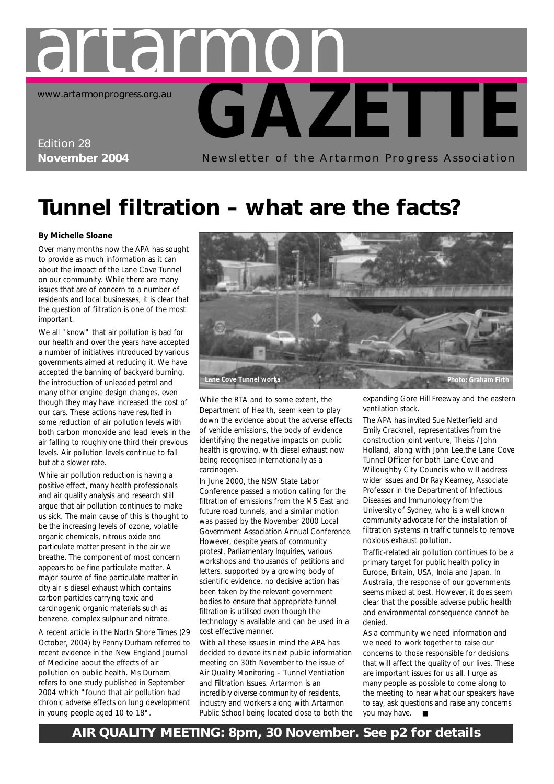

## **Tunnel filtration – what are the facts?**

#### **By Michelle Sloane**

Over many months now the APA has sought to provide as much information as it can about the impact of the Lane Cove Tunnel on our community. While there are many issues that are of concern to a number of residents and local businesses, it is clear that the question of filtration is one of the most important.

We all "know" that air pollution is bad for our health and over the years have accepted a number of initiatives introduced by various governments aimed at reducing it. We have accepted the banning of backyard burning, the introduction of unleaded petrol and many other engine design changes, even though they may have increased the cost of our cars. These actions have resulted in some reduction of air pollution levels with both carbon monoxide and lead levels in the air falling to roughly one third their previous levels. Air pollution levels continue to fall but at a slower rate.

While air pollution reduction is having a positive effect, many health professionals and air quality analysis and research still argue that air pollution continues to make us sick. The main cause of this is thought to be the increasing levels of ozone, volatile organic chemicals, nitrous oxide and particulate matter present in the air we breathe. The component of most concern appears to be fine particulate matter. A major source of fine particulate matter in city air is diesel exhaust which contains carbon particles carrying toxic and carcinogenic organic materials such as benzene, complex sulphur and nitrate.

A recent article in the *North Shore Times* (29 October, 2004) by Penny Durham referred to recent evidence in the *New England Journal of Medicine* about the effects of air pollution on public health. Ms Durham refers to one study published in September 2004 which "found that air pollution had chronic adverse effects on lung development in young people aged 10 to 18".



While the RTA and to some extent, the Department of Health, seem keen to play down the evidence about the adverse effects of vehicle emissions, the body of evidence identifying the negative impacts on public health is growing, with diesel exhaust now being recognised internationally as a carcinogen.

In June 2000, the NSW State Labor Conference passed a motion calling for the filtration of emissions from the M5 East and future road tunnels, and a similar motion was passed by the November 2000 Local Government Association Annual Conference. However, despite years of community protest, Parliamentary Inquiries, various workshops and thousands of petitions and letters, supported by a growing body of scientific evidence, no decisive action has been taken by the relevant government bodies to ensure that appropriate tunnel filtration is utilised even though the technology is available and can be used in a cost effective manner.

With all these issues in mind the APA has decided to devote its next public information meeting on 30th November to the issue of Air Quality Monitoring – Tunnel Ventilation and Filtration Issues. Artarmon is an incredibly diverse community of residents, industry and workers along with Artarmon Public School being located close to both the expanding Gore Hill Freeway and the eastern ventilation stack.

The APA has invited Sue Netterfield and Emily Cracknell, representatives from the construction joint venture, Theiss / John Holland, along with John Lee,the Lane Cove Tunnel Officer for both Lane Cove and Willoughby City Councils who will address wider issues and Dr Ray Kearney, Associate Professor in the Department of Infectious Diseases and Immunology from the University of Sydney, who is a well known community advocate for the installation of filtration systems in traffic tunnels to remove noxious exhaust pollution.

Traffic-related air pollution continues to be a primary target for public health policy in Europe, Britain, USA, India and Japan. In Australia, the response of our governments seems mixed at best. However, it does seem clear that the possible adverse public health and environmental consequence cannot be denied.

As a community we need information and we need to work together to raise our concerns to those responsible for decisions that will affect the quality of our lives. These are important issues for us all. I urge as many people as possible to come along to the meeting to hear what our speakers have to say, ask questions and raise any concerns you may have. ■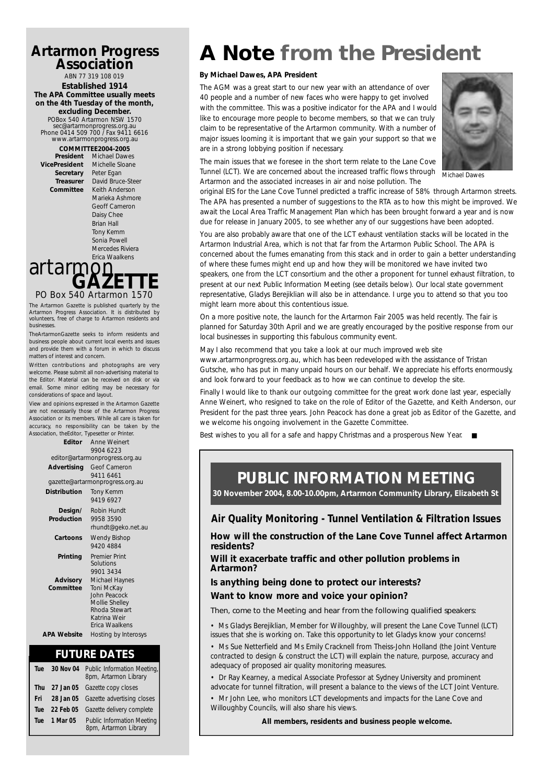#### **Artarmon Progress Association**

ABN 77 319 108 019 **Established 1914 The APA Committee usually meets on the 4th Tuesday of the month, excluding December.**

POBox 540 Artarmon NSW 1570 sec@artarmonprogress.org.au Phone 0414 509 700 / Fax 9411 6616 www.artarmonprogress.org.au

**Secretary** 

**COMMITTEE2004-2005**<br>**President** Michael Dawe **Michael Dawes VicePresident** Michelle Sloane<br>**Secretary** Peter Egan **Treasurer** David Bruce-Steer **Committee** Keith Anderson Marieka Ashmore Geoff Cameron Daisy Chee Brian Hall Tony Kemm Sonia Powell Mercedes Riviera

### PO Box 540 Artarmon 1570 **GAZETTE** artarmon Erica Waalkens

The Artarmon Gazette is published quarterly by the Artarmon Progress Association. It is distributed by volunteers, free of charge to Artarmon residents and businesses.

TheArtarmonGazette seeks to inform residents and business people about current local events and issues and provide them with a forum in which to discuss matters of interest and concern.

Written contributions and photographs are very welcome. Please submit all non-advertising material to the Editor. Material can be received on disk or via email. Some minor editing may be necessary for considerations of space and layout.

View and opinions expressed in the Artarmon Gazette are not necessarily those of the Artarmon Progress Association or its members. While all care is taken for accuracy, no responsibility can be taken by the Association, theEditor, Typesetter or Printer.

|                       | <b>Editor</b> Anne Weinert<br>9904 6223                                                                           |  |  |  |
|-----------------------|-------------------------------------------------------------------------------------------------------------------|--|--|--|
|                       | editor@artarmonprogress.org.au                                                                                    |  |  |  |
| Advertising           | Geof Cameron                                                                                                      |  |  |  |
|                       | 9411 6461<br>gazette@artarmonprogress.org.au                                                                      |  |  |  |
| Distribution          | <b>Tony Kemm</b><br>9419 6927                                                                                     |  |  |  |
| Design/<br>Production | Robin Hundt<br>9958 3590<br>rhundt@geko.net.au                                                                    |  |  |  |
| Cartoons              | Wendy Bishop<br>94204884                                                                                          |  |  |  |
| Printing              | <b>Premier Print</b><br>Solutions<br>9901 3434                                                                    |  |  |  |
| Advisory<br>Committee | Michael Haynes<br>Toni McKay<br>John Peacock<br>Mollie Shelley<br>Rhoda Stewart<br>Katrina Weir<br>Frica Waalkens |  |  |  |
| <b>APA Website</b>    | Hosting by Interosys                                                                                              |  |  |  |

#### **FUTURE DATES**

| Tue | 30 Nov 04    | Public Information Meeting,<br>8pm, Artarmon Library |
|-----|--------------|------------------------------------------------------|
| Thu |              | 27 Jan 05 Gazette copy closes                        |
| Fri |              | 28 Jan 05 Gazette advertising closes                 |
| Tue | 22 Feb 05    | Gazette delivery complete                            |
|     | Tue 1 Mar 05 | Public Information Meeting<br>8pm, Artarmon Library  |

## **A Note from the President**

#### **By Michael Dawes, APA President**

The AGM was a great start to our new year with an attendance of over 40 people and a number of new faces who were happy to get involved with the committee. This was a positive indicator for the APA and I would like to encourage more people to become members, so that we can truly claim to be representative of the Artarmon community. With a number of major issues looming it is important that we gain your support so that we are in a strong lobbying position if necessary.



The main issues that we foresee in the short term relate to the Lane Cove Tunnel (LCT). We are concerned about the increased traffic flows through Artarmon and the associated increases in air and noise pollution. The

*Michael Dawes*

original EIS for the Lane Cove Tunnel predicted a traffic increase of 58% through Artarmon streets. The APA has presented a number of suggestions to the RTA as to how this might be improved. We await the Local Area Traffic Management Plan which has been brought forward a year and is now due for release in January 2005, to see whether any of our suggestions have been adopted.

You are also probably aware that one of the LCT exhaust ventilation stacks will be located in the Artarmon Industrial Area, which is not that far from the Artarmon Public School. The APA is concerned about the fumes emanating from this stack and in order to gain a better understanding of where these fumes might end up and how they will be monitored we have invited two speakers, one from the LCT consortium and the other a proponent for tunnel exhaust filtration, to present at our next Public Information Meeting (see details below). Our local state government representative, Gladys Berejiklian will also be in attendance. I urge you to attend so that you too might learn more about this contentious issue.

On a more positive note, the launch for the Artarmon Fair 2005 was held recently. The fair is planned for Saturday 30th April and we are greatly encouraged by the positive response from our local businesses in supporting this fabulous community event.

May I also recommend that you take a look at our much improved web site www.artarmonprogress.org.au, which has been redeveloped with the assistance of Tristan Gutsche, who has put in many unpaid hours on our behalf. We appreciate his efforts enormously, and look forward to your feedback as to how we can continue to develop the site.

Finally I would like to thank our outgoing committee for the great work done last year, especially Anne Weinert, who resigned to take on the role of Editor of the Gazette, and Keith Anderson, our President for the past three years. John Peacock has done a great job as Editor of the Gazette, and we welcome his ongoing involvement in the Gazette Committee.

Best wishes to you all for a safe and happy Christmas and a prosperous New Year. ■

### **PUBLIC INFORMATION MEETING**

**30 November 2004, 8.00-10.00pm, Artarmon Community Library, Elizabeth St**

#### **Air Quality Monitoring - Tunnel Ventilation & Filtration Issues**

**How will the construction of the Lane Cove Tunnel affect Artarmon residents?**

**Will it exacerbate traffic and other pollution problems in Artarmon?**

**Is anything being done to protect our interests? Want to know more and voice your opinion?**

*Then, come to the Meeting and hear from the following qualified speakers:*

• Ms Gladys Berejiklian, Member for Willoughby, will present the Lane Cove Tunnel (LCT) issues that she is working on. Take this opportunity to let Gladys know your concerns!

• Ms Sue Netterfield and Ms Emily Cracknell from Theiss-John Holland (the Joint Venture contracted to design & construct the LCT) will explain the nature, purpose, accuracy and adequacy of proposed air quality monitoring measures.

• Dr Ray Kearney, a medical Associate Professor at Sydney University and prominent advocate for tunnel filtration, will present a balance to the views of the LCT Joint Venture.

• Mr John Lee, who monitors LCT developments and impacts for the Lane Cove and Willoughby Councils, will also share his views.

*All members, residents and business people welcome.*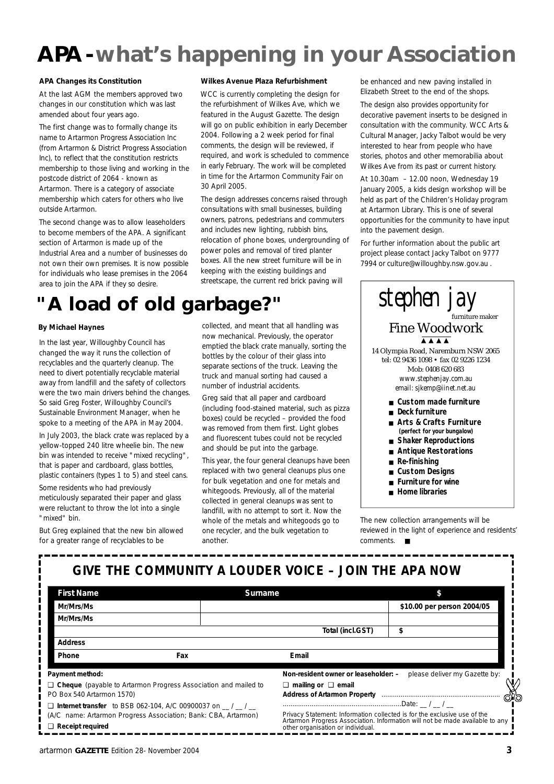## **APA-what's happening in your Association**

#### **APA Changes its Constitution**

At the last AGM the members approved two changes in our constitution which was last amended about four years ago.

The first change was to formally change its name to Artarmon Progress Association Inc (from Artarmon & District Progress Association Inc), to reflect that the constitution restricts membership to those living and working in the postcode district of 2064 - known as Artarmon. There is a category of associate membership which caters for others who live outside Artarmon.

The second change was to allow leaseholders to become members of the APA. A significant section of Artarmon is made up of the Industrial Area and a number of businesses do not own their own premises. It is now possible for individuals who lease premises in the 2064 area to join the APA if they so desire.

### **"A load of old garbage?"**

#### **By Michael Haynes**

In the last year, Willoughby Council has changed the way it runs the collection of recyclables and the quarterly cleanup. The need to divert potentially recyclable material away from landfill and the safety of collectors were the two main drivers behind the changes. So said Greg Foster, Willoughby Council's Sustainable Environment Manager, when he spoke to a meeting of the APA in May 2004.

In July 2003, the black crate was replaced by a yellow-topped 240 litre wheelie bin. The new bin was intended to receive "mixed recycling", that is paper and cardboard, glass bottles, plastic containers (types 1 to 5) and steel cans.

Some residents who had previously meticulously separated their paper and glass were reluctant to throw the lot into a single "mixed" bin.

But Greg explained that the new bin allowed for a greater range of recyclables to be

#### **Wilkes Avenue Plaza Refurbishment**

WCC is currently completing the design for the refurbishment of Wilkes Ave, which we featured in the August Gazette. The design will go on public exhibition in early December 2004. Following a 2 week period for final comments, the design will be reviewed, if required, and work is scheduled to commence in early February. The work will be completed in time for the Artarmon Community Fair on 30 April 2005.

The design addresses concerns raised through consultations with small businesses, building owners, patrons, pedestrians and commuters and includes new lighting, rubbish bins, relocation of phone boxes, undergrounding of power poles and removal of tired planter boxes. All the new street furniture will be in keeping with the existing buildings and streetscape, the current red brick paving will

collected, and meant that all handling was now mechanical. Previously, the operator emptied the black crate manually, sorting the bottles by the colour of their glass into separate sections of the truck. Leaving the truck and manual sorting had caused a number of industrial accidents.

Greg said that all paper and cardboard (including food-stained material, such as pizza boxes) could be recycled – provided the food was removed from them first. Light globes and fluorescent tubes could not be recycled and should be put into the garbage.

This year, the four general cleanups have been replaced with two general cleanups plus one for bulk vegetation and one for metals and whitegoods. Previously, all of the material collected in general cleanups was sent to landfill, with no attempt to sort it. Now the whole of the metals and whitegoods go to one recycler, and the bulk vegetation to another.

be enhanced and new paving installed in Elizabeth Street to the end of the shops.

The design also provides opportunity for decorative pavement inserts to be designed in consultation with the community. WCC Arts & Cultural Manager, Jacky Talbot would be very interested to hear from people who have stories, photos and other memorabilia about Wilkes Ave from its past or current history.

At 10.30am – 12.00 noon, Wednesday 19 January 2005, a kids design workshop will be held as part of the Children's Holiday program at Artarmon Library. This is one of several opportunities for the community to have input into the pavement design.

For further information about the public art project please contact Jacky Talbot on 9777 7994 or culture@willoughby.nsw.gov.au .

#### stephen jay Fine Woodwork 14 Olympia Road, Naremburn NSW 2065 tel: 02 9436 1098 • fax 02 9226 1234 Mob: 0408 620 683 furniture maker ▲ ▲ ▲ ▲

*www.stephenjay.com.au email: sjkemp@iinet.net.au*

- Custom made furniture
- **Deck furniture**
- **Arts & Crafts Furniture**
- **(perfect for your bungalow)**
- **Shaker Reproductions**
- **Antique Restorations**
- **Re-finishing**
- **Custom Designs**
- **Furniture for wine**
- **Home libraries**

The new collection arrangements will be reviewed in the light of experience and residents' comments. ■

### **GIVE THE COMMUNITY A LOUDER VOICE – JOIN THE APA NOW**

| <b>First Name</b>                                                     | Surname                                                      |                                                                                                                                                          |                               |
|-----------------------------------------------------------------------|--------------------------------------------------------------|----------------------------------------------------------------------------------------------------------------------------------------------------------|-------------------------------|
| Mr/Mrs/Ms                                                             |                                                              |                                                                                                                                                          | \$10.00 per person 2004/05    |
| Mr/Mrs/Ms                                                             |                                                              |                                                                                                                                                          |                               |
|                                                                       |                                                              | Total (incl.GST)                                                                                                                                         |                               |
| <b>Address</b>                                                        |                                                              |                                                                                                                                                          |                               |
| Phone                                                                 | Fax                                                          | Email                                                                                                                                                    |                               |
| Payment method:                                                       |                                                              | Non-resident owner or leaseholder: -                                                                                                                     | please deliver my Gazette by: |
| $\Box$ Cheque (payable to Artarmon Progress Association and mailed to |                                                              | $\Box$ mailing or $\Box$ email                                                                                                                           |                               |
| PO Box 540 Artarmon 1570)                                             |                                                              | <b>Address of Artarmon Property</b>                                                                                                                      | <i>ା</i> ର                    |
|                                                                       | $\Box$ Internet transfer to BSB 062-104, A/C 00900037 on / / |                                                                                                                                                          |                               |
| (A/C name: Artarmon Progress Association; Bank: CBA, Artarmon)        |                                                              | Privacy Statement: Information collected is for the exclusive use of the<br>Artarmon Progress Association. Information will not be made available to any |                               |
| $\Box$ Receipt required                                               |                                                              | other organisation or individual.                                                                                                                        |                               |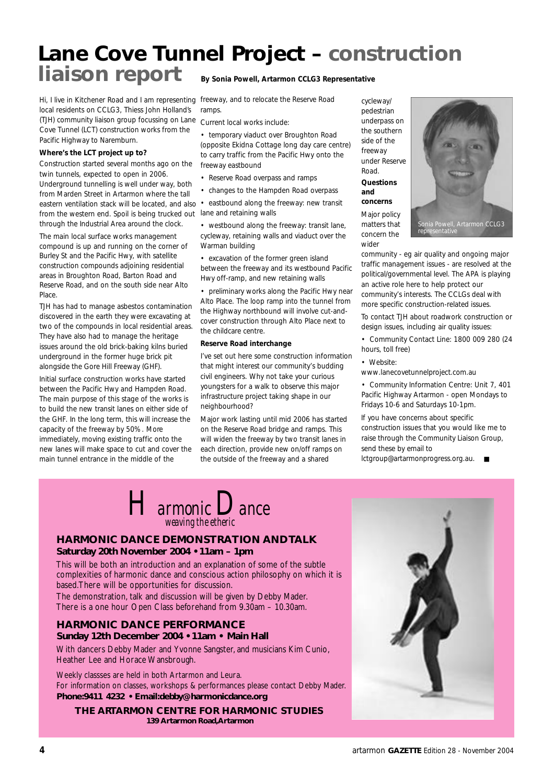### **Lane Cove Tunnel Project – construction liaison report By Sonia Powell, Artarmon CCLG3 Representative**

Hi, I live in Kitchener Road and I am representing local residents on CCLG3, Thiess John Holland's (TJH) community liaison group focussing on Lane Cove Tunnel (LCT) construction works from the Pacific Highway to Naremburn.

#### **Where's the LCT project up to?**

Construction started several months ago on the twin tunnels, expected to open in 2006. Underground tunnelling is well under way, both from Marden Street in Artarmon where the tall eastern ventilation stack will be located, and also • eastbound along the freeway: new transit from the western end. Spoil is being trucked out lane and retaining walls through the Industrial Area around the clock.

The main local surface works management compound is up and running on the corner of Burley St and the Pacific Hwy, with satellite construction compounds adjoining residential areas in Broughton Road, Barton Road and Reserve Road, and on the south side near Alto Place.

TJH has had to manage asbestos contamination discovered in the earth they were excavating at two of the compounds in local residential areas. They have also had to manage the heritage issues around the old brick-baking kilns buried underground in the former huge brick pit alongside the Gore Hill Freeway (GHF).

Initial surface construction works have started between the Pacific Hwy and Hampden Road. The main purpose of this stage of the works is to build the new transit lanes on either side of the GHF. In the long term, this will increase the capacity of the freeway by 50%. More immediately, moving existing traffic onto the new lanes will make space to cut and cover the main tunnel entrance in the middle of the

freeway, and to relocate the Reserve Road ramps

Current local works include:

• temporary viaduct over Broughton Road (opposite Ekidna Cottage long day care centre) to carry traffic from the Pacific Hwy onto the freeway eastbound

- Reserve Road overpass and ramps
- changes to the Hampden Road overpass

• westbound along the freeway: transit lane, cycleway, retaining walls and viaduct over the Warman building

• excavation of the former green island between the freeway and its westbound Pacific Hwy off-ramp, and new retaining walls

• preliminary works along the Pacific Hwy near Alto Place. The loop ramp into the tunnel from the Highway northbound will involve cut-andcover construction through Alto Place next to the childcare centre.

#### **Reserve Road interchange**

I've set out here some construction information that might interest our community's budding civil engineers. Why not take your curious youngsters for a walk to observe this major infrastructure project taking shape in our neighbourhood?

Major work lasting until mid 2006 has started on the Reserve Road bridge and ramps. This will widen the freeway by two transit lanes in each direction, provide new on/off ramps on the outside of the freeway and a shared

cycleway/ pedestrian underpass on the southern side of the freeway under Reserve Road. **Questions and concerns**

Major policy matters that concern the wider



community - eg air quality and ongoing major traffic management issues - are resolved at the political/governmental level. The APA is playing an active role here to help protect our community's interests. The CCLGs deal with more specific construction-related issues.

To contact TJH about roadwork construction or design issues, including air quality issues:

• Community Contact Line: 1800 009 280 (24 hours, toll free)

• Website:

www.lanecovetunnelproject.com.au

• Community Information Centre: Unit 7, 401 Pacific Highway Artarmon - open Mondays to Fridays 10-6 and Saturdays 10-1pm.

If you have concerns about specific construction issues that you would like me to raise through the Community Liaison Group, send these by email to

lctgroup@artarmonprogress.org.au.

*Harmonic Dance weaving the etheric*

#### **HARMONIC DANCE DEMONSTRATION AND TALK Saturday 20th November 2004 • 11am – 1pm**

This will be both an introduction and an explanation of some of the subtle complexities of harmonic dance and conscious action philosophy on which it is based.There will be opportunities for discussion. The demonstration, talk and discussion will be given by Debby Mader.

There is a one hour Open Class beforehand from 9.30am – 10.30am.

#### **HARMONIC DANCE PERFORMANCE Sunday 12th December 2004 • 11am • Main Hall**

With dancers Debby Mader and Yvonne Sangster, and musicians Kim Cunio, Heather Lee and Horace Wansbrough.

Weekly classses are held in both Artarmon and Leura. For information on classes, workshops & performances please contact Debby Mader. **Phone:9411 4232 • Email:debby@harmonicdance.org**

**THE ARTARMON CENTRE FOR HARMONIC STUDIES 139 Artarmon Road,Artarmon**

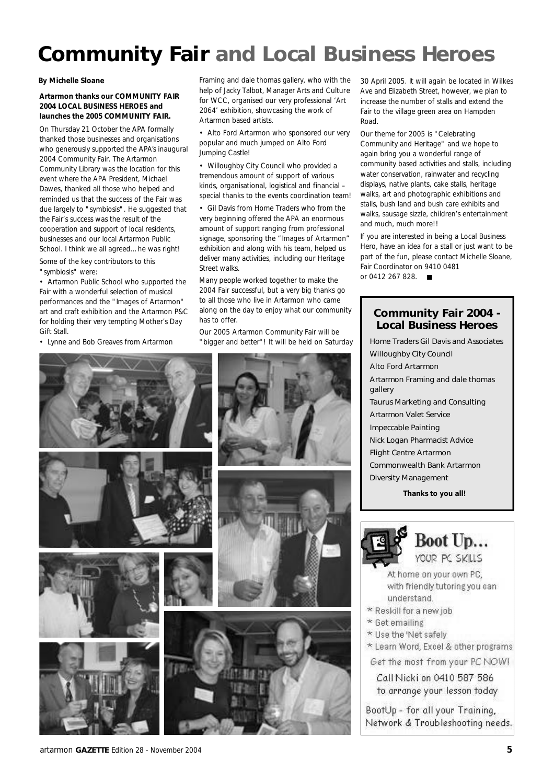## **Community Fair and Local Business Heroes**

#### **Artarmon thanks our COMMUNITY FAIR 2004 LOCAL BUSINESS HEROES and launches the 2005 COMMUNITY FAIR.**

On Thursday 21 October the APA formally thanked those businesses and organisations who generously supported the APA's inaugural 2004 Community Fair. The Artarmon Community Library was the location for this event where the APA President, Michael Dawes, thanked all those who helped and reminded us that the success of the Fair was due largely to "symbiosis". He suggested that the Fair's success was the result of the cooperation and support of local residents, businesses and our local Artarmon Public School. I think we all agreed…he was right! Some of the key contributors to this

"symbiosis" were:

• Artarmon Public School who supported the Fair with a wonderful selection of musical performances and the "Images of Artarmon" art and craft exhibition and the Artarmon P&C for holding their very tempting Mother's Day Gift Stall.

• Lynne and Bob Greaves from Artarmon

**By Michelle Sloane** Framing and dale thomas gallery, who with the help of Jacky Talbot, Manager Arts and Culture for WCC, organised our very professional 'Art 2064' exhibition, showcasing the work of Artarmon based artists.

> • Alto Ford Artarmon who sponsored our very popular and much jumped on Alto Ford Jumping Castle!

> • Willoughby City Council who provided a tremendous amount of support of various kinds, organisational, logistical and financial – special thanks to the events coordination team!

• Gil Davis from Home Traders who from the very beginning offered the APA an enormous amount of support ranging from professional signage, sponsoring the "Images of Artarmon" exhibition and along with his team, helped us deliver many activities, including our Heritage Street walks.

Many people worked together to make the 2004 Fair successful, but a very big thanks go to all those who live in Artarmon who came along on the day to enjoy what our community has to offer.

Our 2005 Artarmon Community Fair will be "bigger and better"! It will be held on Saturday 30 April 2005. It will again be located in Wilkes Ave and Elizabeth Street, however, we plan to increase the number of stalls and extend the Fair to the village green area on Hampden Road.

Our theme for 2005 is "Celebrating Community and Heritage" and we hope to again bring you a wonderful range of community based activities and stalls, including water conservation, rainwater and recycling displays, native plants, cake stalls, heritage walks, art and photographic exhibitions and stalls, bush land and bush care exhibits and walks, sausage sizzle, children's entertainment and much, much more!!

If you are interested in being a Local Business Hero, have an idea for a stall or just want to be part of the fun, please contact Michelle Sloane, Fair Coordinator on 9410 0481 or 0412 267 828. ■

#### **Community Fair 2004 - Local Business Heroes**

*Home Traders Gil Davis and Associates Willoughby City Council Alto Ford Artarmon Artarmon Framing and dale thomas gallery Taurus Marketing and Consulting Artarmon Valet Service Impeccable Painting Nick Logan Pharmacist Advice Flight Centre Artarmon Commonwealth Bank Artarmon Diversity Management* **Thanks to you all!**

Boot Up... YOUR PC SKILLS

- At home on your own PC, with friendly tutoring you can understand.
- \* Reskill for a new job
- \* Get emailing
- \* Use the 'Net safely
- \* Learn Word, Excel & other programs
- Get the most from your PC NOW!

Call Nicki on 0410 587 586 to arrange your lesson today

BootUp - for all your Training, Network & Troubleshooting needs.

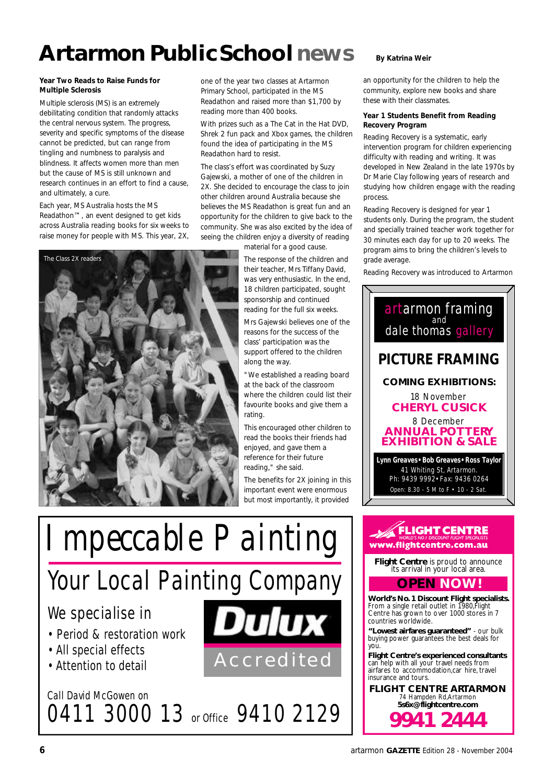## **Artarmon PublicSchoolnews**

#### **Year Two Reads to Raise Funds for Multiple Sclerosis**

Multiple sclerosis (MS) is an extremely debilitating condition that randomly attacks the central nervous system. The progress, severity and specific symptoms of the disease cannot be predicted, but can range from tingling and numbness to paralysis and blindness. It affects women more than men but the cause of MS is still unknown and research continues in an effort to find a cause, and ultimately, a cure.

Each year, MS Australia hosts the MS Readathon™, an event designed to get kids across Australia reading books for six weeks to raise money for people with MS. This year, 2X,



one of the year two classes at Artarmon Primary School, participated in the MS Readathon and raised more than \$1,700 by reading more than 400 books.

With prizes such as a The Cat in the Hat DVD, Shrek 2 fun pack and Xbox games, the children found the idea of participating in the MS Readathon hard to resist.

The class's effort was coordinated by Suzy Gajewski, a mother of one of the children in 2X. She decided to encourage the class to join other children around Australia because she believes the MS Readathon is great fun and an opportunity for the children to give back to the community. She was also excited by the idea of seeing the children enjoy a diversity of reading

material for a good cause. The response of the children and their teacher, Mrs Tiffany David, was very enthusiastic. In the end, 18 children participated, sought sponsorship and continued reading for the full six weeks. Mrs Gajewski believes one of the reasons for the success of the class' participation was the support offered to the children along the way.

"We established a reading board at the back of the classroom where the children could list their favourite books and give them a rating.

This encouraged other children to read the books their friends had enjoyed, and gave them a reference for their future reading," she said.

The benefits for 2X joining in this important event were enormous but most importantly, it provided



# Your Local Painting Company

0411 3000 13 or Office 9410 2129

### We specialise in

- *Period & restoration work*
- *• All special effects*
- *• Attention to detail*

Call David McGowen on





an opportunity for the children to help the community, explore new books and share these with their classmates.

#### **Year 1 Students Benefit from Reading Recovery Program**

Reading Recovery is a systematic, early intervention program for children experiencing difficulty with reading and writing. It was developed in New Zealand in the late 1970s by Dr Marie Clay following years of research and studying how children engage with the reading process.

Reading Recovery is designed for year 1 students only. During the program, the student and specially trained teacher work together for 30 minutes each day for up to 20 weeks. The program aims to bring the children's levels to grade average.

Reading Recovery was introduced to Artarmon



**FLIGHT CENTRE ARTARMON** 74 Hampden Rd,Artarmon **5s6x@flightcentre.com**

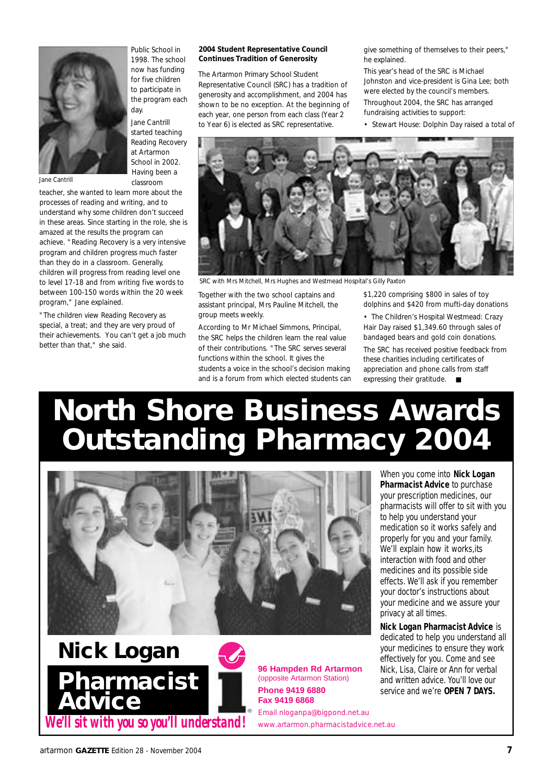

*Jane Cantrill*

1998. The school now has funding for five children to participate in the program each day. Jane Cantrill

Public School in

started teaching Reading Recovery at Artarmon School in 2002. Having been a classroom

teacher, she wanted to learn more about the processes of reading and writing, and to understand why some children don't succeed in these areas. Since starting in the role, she is amazed at the results the program can achieve. "Reading Recovery is a very intensive program and children progress much faster than they do in a classroom. Generally, children will progress from reading level one to level 17-18 and from writing five words to between 100-150 words within the 20 week program," Jane explained.

"The children view Reading Recovery as special, a treat; and they are very proud of their achievements. You can't get a job much better than that," she said.

#### **2004 Student Representative Council Continues Tradition of Generosity**

The Artarmon Primary School Student Representative Council (SRC) has a tradition of generosity and accomplishment, and 2004 has shown to be no exception. At the beginning of each year, one person from each class (Year 2 to Year 6) is elected as SRC representative.

give something of themselves to their peers," he explained.

This year's head of the SRC is Michael Johnston and vice-president is Gina Lee; both were elected by the council's members. Throughout 2004, the SRC has arranged fundraising activities to support:

• Stewart House: Dolphin Day raised a total of



*SRC with Mrs Mitchell, Mrs Hughes and Westmead Hospital's Gilly Paxton*

Together with the two school captains and assistant principal, Mrs Pauline Mitchell, the group meets weekly.

According to Mr Michael Simmons, Principal, the SRC helps the children learn the real value of their contributions. "The SRC serves several functions within the school. It gives the students a voice in the school's decision making and is a forum from which elected students can \$1,220 comprising \$800 in sales of toy dolphins and \$420 from mufti-day donations

• The Children's Hospital Westmead: Crazy Hair Day raised \$1,349.60 through sales of bandaged bears and gold coin donations.

The SRC has received positive feedback from these charities including certificates of appreciation and phone calls from staff expressing their gratitude. ■

# **North Shore Business Awards Outstanding Pharmacy 2004**





When you come into **Nick Logan Pharmacist Advice** to purchase your prescription medicines, our pharmacists will offer to sit with you to help you understand your medication so it works safely and properly for you and your family. We'll explain how it works,its interaction with food and other medicines and its possible side effects. We'll ask if you remember your doctor's instructions about your medicine and we assure your privacy at all times.

**Nick Logan Pharmacist Advice** is dedicated to help you understand all your medicines to ensure they work effectively for you. Come and see Nick, Lisa, Claire or Ann for verbal and written advice. You'll love our service and we're **OPEN 7 DAYS.**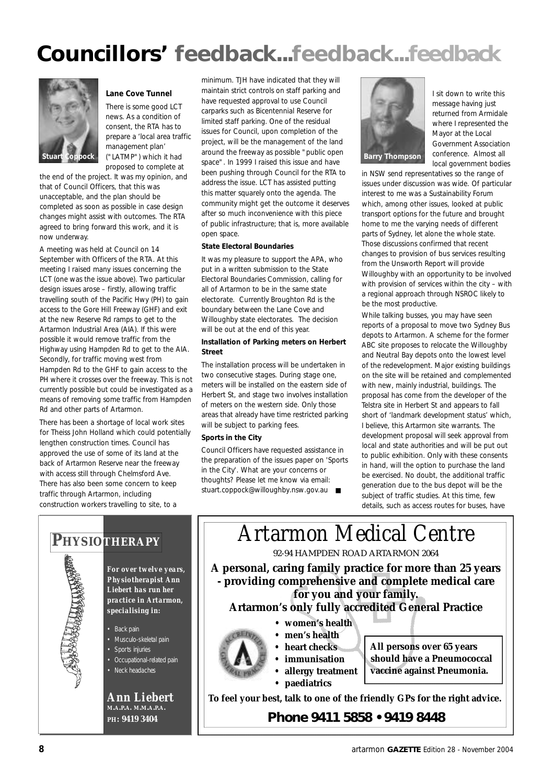## **Councillors' feedback...feedback...feedback**



#### **Lane Cove Tunnel**

There is some good LCT news. As a condition of consent, the RTA has to prepare a 'local area traffic management plan' ("LATMP") which it had proposed to complete at

the end of the project. It was my opinion, and that of Council Officers, that this was unacceptable, and the plan should be completed as soon as possible in case design changes might assist with outcomes. The RTA agreed to bring forward this work, and it is now underway.

A meeting was held at Council on 14 September with Officers of the RTA. At this meeting I raised many issues concerning the LCT (one was the issue above). Two particular design issues arose – firstly, allowing traffic travelling south of the Pacific Hwy (PH) to gain access to the Gore Hill Freeway (GHF) and exit at the new Reserve Rd ramps to get to the Artarmon Industrial Area (AIA). If this were possible it would remove traffic from the Highway using Hampden Rd to get to the AIA. Secondly, for traffic moving west from Hampden Rd to the GHF to gain access to the PH where it crosses over the freeway. This is not currently possible but could be investigated as a means of removing some traffic from Hampden Rd and other parts of Artarmon.

There has been a shortage of local work sites for Theiss John Holland which could potentially lengthen construction times. Council has approved the use of some of its land at the back of Artarmon Reserve near the freeway with access still through Chelmsford Ave. There has also been some concern to keep traffic through Artarmon, including construction workers travelling to site, to a

minimum. TJH have indicated that they will maintain strict controls on staff parking and have requested approval to use Council carparks such as Bicentennial Reserve for limited staff parking. One of the residual issues for Council, upon completion of the project, will be the management of the land around the freeway as possible "public open space". In 1999 I raised this issue and have been pushing through Council for the RTA to address the issue. LCT has assisted putting this matter squarely onto the agenda. The community might get the outcome it deserves after so much inconvenience with this piece of public infrastructure; that is, more available open space.

#### **State Electoral Boundaries**

It was my pleasure to support the APA, who put in a written submission to the State Electoral Boundaries Commission, calling for all of Artarmon to be in the same state electorate. Currently Broughton Rd is the boundary between the Lane Cove and Willoughby state electorates. The decision will be out at the end of this year.

#### **Installation of Parking meters on Herbert Street**

The installation process will be undertaken in two consecutive stages. During stage one, meters will be installed on the eastern side of Herbert St, and stage two involves installation of meters on the western side. Only those areas that already have time restricted parking will be subject to parking fees.

#### **Sports in the City**

Council Officers have requested assistance in the preparation of the issues paper on 'Sports in the City'. What are your concerns or thoughts? Please let me know via email: stuart.coppock@willoughby.nsw.gov.au ■



I sit down to write this message having just returned from Armidale where I represented the Mayor at the Local Government Association conference. Almost all local government bodies

in NSW send representatives so the range of issues under discussion was wide. Of particular interest to me was a Sustainability Forum which, among other issues, looked at public transport options for the future and brought home to me the varying needs of different parts of Sydney, let alone the whole state. Those discussions confirmed that recent changes to provision of bus services resulting from the Unsworth Report will provide Willoughby with an opportunity to be involved with provision of services within the city – with a regional approach through NSROC likely to be the most productive.

While talking busses, you may have seen reports of a proposal to move two Sydney Bus depots to Artarmon. A scheme for the former ABC site proposes to relocate the Willoughby and Neutral Bay depots onto the lowest level of the redevelopment. Major existing buildings on the site will be retained and complemented with new, mainly industrial, buildings. The proposal has come from the developer of the Telstra site in Herbert St and appears to fall short of 'landmark development status' which, I believe, this Artarmon site warrants. The development proposal will seek approval from local and state authorities and will be put out to public exhibition. Only with these consents in hand, will the option to purchase the land be exercised. No doubt, the additional traffic generation due to the bus depot will be the subject of traffic studies. At this time, few details, such as access routes for buses, have

#### **PHYSIOTHERAPY** | **Artarmon Medical Centre** 92-94 HAMPDEN ROAD ARTARMON 2064 **A personal, caring family practice for more than 25 years - providing comprehensive and complete medical care for you and your family. Artarmon's only fully accredited General Practice • women's health • men's health • heart checks • immunisation • allergy treatment • paediatrics To feel your best, talk to one of the friendly GPs for the right advice.** *Phone 9411 5858 • 9419 8448* **All persons over 65 years should have a Pneumococcal vaccine against Pneumonia.**



*For over twelve years, Physiotherapist Ann Liebert has run her practice in Artarmon, specialising in:*

• Back pain

- Musculo-skeletal pain • Sports injuries
- Occupational-related pain
- Neck headaches

*Ann Liebert* **M.A.P.A. M.M.A.P.A. P H: 9419 3404**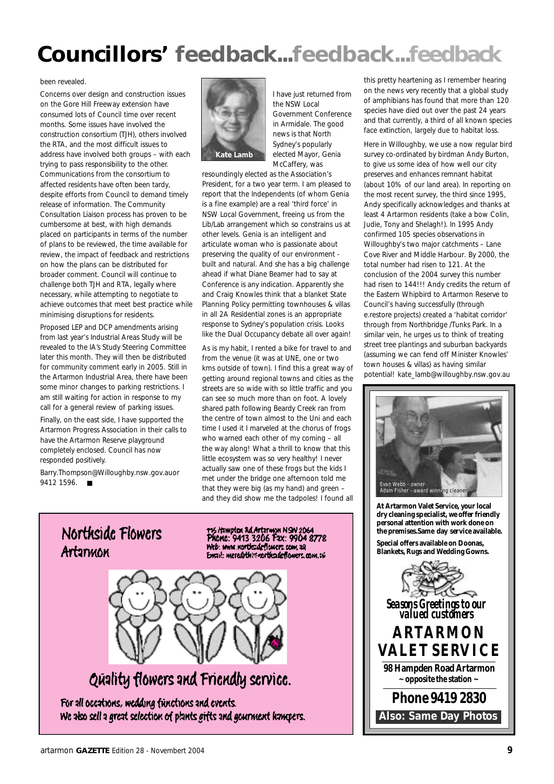## **Councillors' feedback...feedback...feedback**

#### been revealed.

Concerns over design and construction issues on the Gore Hill Freeway extension have consumed lots of Council time over recent months. Some issues have involved the construction consortium (TJH), others involved the RTA, and the most difficult issues to address have involved both groups – with each trying to pass responsibility to the other. Communications from the consortium to affected residents have often been tardy, despite efforts from Council to demand timely release of information. The Community Consultation Liaison process has proven to be cumbersome at best, with high demands placed on participants in terms of the number of plans to be reviewed, the time available for review, the impact of feedback and restrictions on how the plans can be distributed for broader comment. Council will continue to challenge both TJH and RTA, legally where necessary, while attempting to negotiate to achieve outcomes that meet best practice while minimising disruptions for residents.

Proposed LEP and DCP amendments arising from last year's Industrial Areas Study will be revealed to the IA's Study Steering Committee later this month. They will then be distributed for community comment early in 2005. Still in the Artarmon Industrial Area, there have been some minor changes to parking restrictions. I am still waiting for action in response to my call for a general review of parking issues.

Finally, on the east side, I have supported the Artarmon Progress Association in their calls to have the Artarmon Reserve playground completely enclosed. Council has now responded positively.

Barry.Thompson@Willoughby.nsw.gov.au or 9412 1596. ■



I have just returned from the NSW Local Government Conference in Armidale. The good news is that North Sydney's popularly elected Mayor, Genia McCaffery, was

resoundingly elected as the Association's President, for a two year term. I am pleased to report that the Independents (of whom Genia is a fine example) are a real 'third force' in NSW Local Government, freeing us from the Lib/Lab arrangement which so constrains us at other levels. Genia is an intelligent and articulate woman who is passionate about preserving the quality of our environment built and natural. And she has a big challenge ahead if what Diane Beamer had to say at Conference is any indication. Apparently she and Craig Knowles think that a blanket State Planning Policy permitting townhouses & villas in all 2A Residential zones is an appropriate response to Sydney's population crisis. Looks like the Dual Occupancy debate all over again!

As is my habit, I rented a bike for travel to and from the venue (it was at UNE, one or two kms outside of town). I find this a great way of getting around regional towns and cities as the streets are so wide with so little traffic and you can see so much more than on foot. A lovely shared path following Beardy Creek ran from the centre of town almost to the Uni and each time I used it I marveled at the chorus of frogs who warned each other of my coming – all the way along! What a thrill to know that this little ecosystem was so very healthy! I never actually saw one of these frogs but the kids I met under the bridge one afternoon told me that they were big (as my hand) and green – and they did show me the tadpoles! I found all



115 Hampton Rd Artarman N.S.N 2064<br>Phome: 9413 3206 Fax: 9904 8778 Web: www.northcadeflugers.com.38 Email: meredithin contradeflowers.com.au



### Quality flowers and Friendly service.

For all occations, wedding functions and events. We also sell a great selection of plants gifts and gournment hampers. this pretty heartening as I remember hearing on the news very recently that a global study of amphibians has found that more than 120 species have died out over the past 24 years and that currently, a third of all known species face extinction, largely due to habitat loss.

Here in Willoughby, we use a now regular bird survey co-ordinated by birdman Andy Burton, to give us some idea of how well our city preserves and enhances remnant habitat (about 10% of our land area). In reporting on the most recent survey, the third since 1995, Andy specifically acknowledges and thanks at least 4 Artarmon residents (take a bow Colin, Judie, Tony and Shelagh!). In 1995 Andy confirmed 105 species observations in Willoughby's two major catchments – Lane Cove River and Middle Harbour. By 2000, the total number had risen to 121. At the conclusion of the 2004 survey this number had risen to 144!!! Andy credits the return of the Eastern Whipbird to Artarmon Reserve to Council's having successfully (through e.restore projects) created a 'habitat corridor' through from Northbridge /Tunks Park. In a similar vein, he urges us to think of treating street tree plantings and suburban backyards (assuming we can fend off Minister Knowles' town houses & villas) as having similar potential! kate\_lamb@willoughby.nsw.gov.au



**At Artarmon Valet Service, your local dry cleaning specialist, we offer friendly personal attention with work done on the premises.Same day service available. Special offers available on Doonas, Blankets, Rugs and Wedding Gowns.**

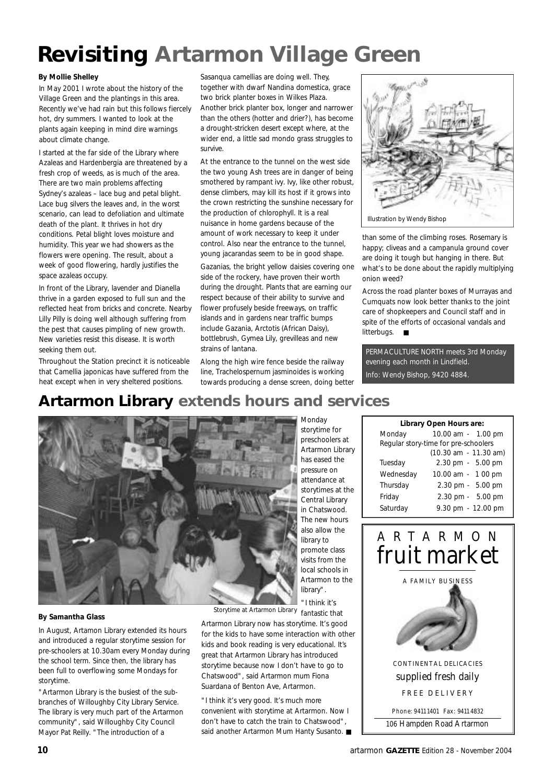## **Revisiting Artarmon Village Green**

#### **By Mollie Shelley**

In May 2001 I wrote about the history of the Village Green and the plantings in this area. Recently we've had rain but this follows fiercely hot, dry summers. I wanted to look at the plants again keeping in mind dire warnings about climate change.

I started at the far side of the Library where Azaleas and Hardenbergia are threatened by a fresh crop of weeds, as is much of the area. There are two main problems affecting Sydney's azaleas – lace bug and petal blight. Lace bug silvers the leaves and, in the worst scenario, can lead to defoliation and ultimate death of the plant. It thrives in hot dry conditions. Petal blight loves moisture and humidity. This year we had showers as the flowers were opening. The result, about a week of good flowering, hardly justifies the space azaleas occupy.

In front of the Library, lavender and Dianella thrive in a garden exposed to full sun and the reflected heat from bricks and concrete. Nearby Lilly Pilly is doing well although suffering from the pest that causes pimpling of new growth. New varieties resist this disease. It is worth seeking them out.

Throughout the Station precinct it is noticeable that Camellia japonicas have suffered from the heat except when in very sheltered positions.

Sasanqua camellias are doing well. They, together with dwarf Nandina domestica, grace two brick planter boxes in Wilkes Plaza. Another brick planter box, longer and narrower than the others (hotter and drier?), has become a drought-stricken desert except where, at the wider end, a little sad mondo grass struggles to survive.

At the entrance to the tunnel on the west side the two young Ash trees are in danger of being smothered by rampant ivy. Ivy, like other robust, dense climbers, may kill its host if it grows into the crown restricting the sunshine necessary for the production of chlorophyll. It is a real nuisance in home gardens because of the amount of work necessary to keep it under control. Also near the entrance to the tunnel, young jacarandas seem to be in good shape.

Gazanias, the bright yellow daisies covering one side of the rockery, have proven their worth during the drought. Plants that are earning our respect because of their ability to survive and flower profusely beside freeways, on traffic islands and in gardens near traffic bumps include Gazania, Arctotis (African Daisy), bottlebrush, Gymea Lily, grevilleas and new strains of lantana.

Along the high wire fence beside the railway line, Trachelospernum jasminoides is working towards producing a dense screen, doing better



than some of the climbing roses. Rosemary is happy; cliveas and a campanula ground cover are doing it tough but hanging in there. But what's to be done about the rapidly multiplying onion weed?

Across the road planter boxes of Murrayas and Cumquats now look better thanks to the joint care of shopkeepers and Council staff and in spite of the efforts of occasional vandals and litterbugs. ■

PERMACULTURE NORTH meets 3rd Monday evening each month in Lindfield. Info: Wendy Bishop, 9420 4884.

### **Artarmon Library extends hours and services**



storytime for preschoolers at Artarmon Library has eased the pressure on attendance at storytimes at the Central Library in Chatswood. The new hours also allow the library to promote class visits from the local schools in Artarmon to the library". "I think it's

Monday

| Monday    | 10.00 am - 1.00 pm                   |
|-----------|--------------------------------------|
|           | Regular story-time for pre-schoolers |
|           | (10.30 am - 11.30 am)                |
| Tuesday   | 2.30 pm - 5.00 pm                    |
| Wednesday | 10.00 am - 1 00 pm                   |
| Thursday  | 2.30 pm - 5.00 pm                    |
| Friday    | 2.30 pm - 5.00 pm                    |
| Saturday  | 9.30 pm - 12.00 pm                   |
|           |                                      |

**Library Open Hours are:**



#### **By Samantha Glass**

In August, Artamon Library extended its hours and introduced a regular storytime session for pre-schoolers at 10.30am every Monday during the school term. Since then, the library has been full to overflowing some Mondays for storytime.

"Artarmon Library is the busiest of the subbranches of Willoughby City Library Service. The library is very much part of the Artarmon community", said Willoughby City Council Mayor Pat Reilly. "The introduction of a

*Storytime at Artarmon Library* fantastic that

Artarmon Library now has storytime. It's good for the kids to have some interaction with other kids and book reading is very educational. It's great that Artarmon Library has introduced storytime because now I don't have to go to Chatswood", said Artarmon mum Fiona Suardana of Benton Ave, Artarmon.

"I think it's very good. It's much more convenient with storytime at Artarmon. Now I don't have to catch the train to Chatswood", said another Artarmon Mum Hanty Susanto. ■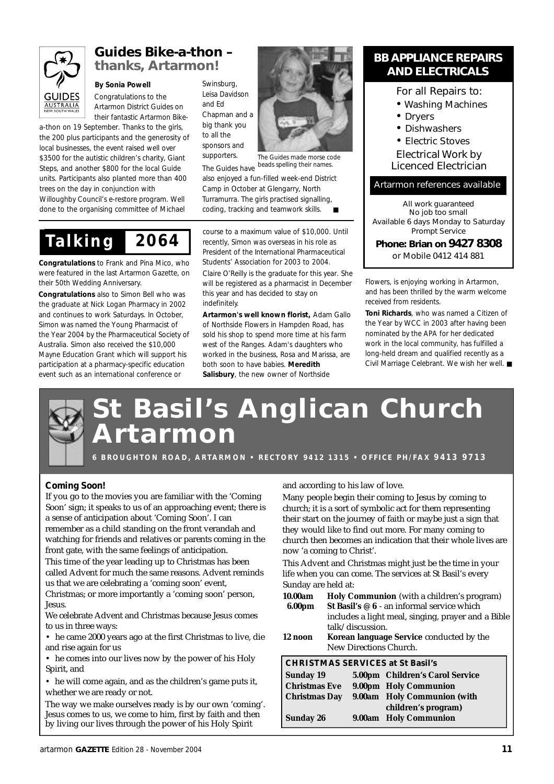

### **Guides Bike-a-thon – thanks, Artarmon!**

#### **By Sonia Powell**

Congratulations to the Artarmon District Guides on their fantastic Artarmon Bike-

a-thon on 19 September. Thanks to the girls, the 200 plus participants and the generosity of local businesses, the event raised well over \$3500 for the autistic children's charity, Giant Steps, and another \$800 for the local Guide units. Participants also planted more than 400 trees on the day in conjunction with Willoughby Council's e-restore program. Well done to the organising committee of Michael

Swinsburg, Leisa Davidson and Ed Chapman and a big thank you to all the sponsors and supporters.

The Guides have *The Guides made morse code beads spelling their names.*

also enjoyed a fun-filled week-end District Camp in October at Glengarry, North Turramurra. The girls practised signalling, coding, tracking and teamwork skills.

*Ta l k i n g 2 0 6 4*

**Congratulations** to Frank and Pina Mico, who were featured in the last Artarmon Gazette, on their 50th Wedding Anniversary.

**Congratulations** also to Simon Bell who was the graduate at Nick Logan Pharmacy in 2002 and continues to work Saturdays. In October, Simon was named the Young Pharmacist of the Year 2004 by the Pharmaceutical Society of Australia. Simon also received the \$10,000 Mayne Education Grant which will support his participation at a pharmacy-specific education event such as an international conference or

course to a maximum value of \$10,000. Until recently, Simon was overseas in his role as President of the International Pharmaceutical Students' Association for 2003 to 2004. Claire O'Reilly is the graduate for this year. She will be registered as a pharmacist in December this year and has decided to stay on indefinitely.

**Artarmon's well known florist,** Adam Gallo of Northside Flowers in Hampden Road, has sold his shop to spend more time at his farm west of the Ranges. Adam's daughters who worked in the business, Rosa and Marissa, are both soon to have babies. **Meredith Salisbury**, the new owner of Northside

#### **BB APPLIANCE REPAIRS AND ELECTRICALS**

#### For all Repairs to:

- Washing Machines
- Dryers
- Dishwashers
- Electric Stoves

Electrical Work by Licenced Electrician

#### Artarmon references available

*All work guaranteed No job too small Available 6 days Monday to Saturday Prompt Service*

**Phone: Brian on 9427 8308** or Mobile 0412 414 881

Flowers, is enjoying working in Artarmon, and has been thrilled by the warm welcome received from residents.

**Toni Richards**, who was named a Citizen of the Year by WCC in 2003 after having been nominated by the APA for her dedicated work in the local community, has fulfilled a long-held dream and qualified recently as a Civil Marriage Celebrant. We wish her well. ■

## **Basil's Anglican Church A r t a r m o n**

**6 B R O U G H T O N R O A D , A R TA R M O N • R E C T O RY 9 4 1 2 1 3 1 5 • O F F I C E P H / FA X 9 4 1 3 9 7 1 3**

#### **Coming Soon!**

If you go to the movies you are familiar with the 'Coming Soon' sign; it speaks to us of an approaching event; there is a sense of anticipation about 'Coming Soon'. I can remember as a child standing on the front verandah and watching for friends and relatives or parents coming in the front gate, with the same feelings of anticipation.

This time of the year leading up to Christmas has been called Advent for much the same reasons. Advent reminds us that we are celebrating a 'coming soon' event, Christmas; or more importantly a 'coming soon' person,

Jesus. We celebrate Advent and Christmas because Jesus comes

to us in three ways:

• he came 2000 years ago at the first Christmas to live, die and rise again for us

• he comes into our lives now by the power of his Holy Spirit, and

• he will come again, and as the children's game puts it, whether we are ready or not.

The way we make ourselves ready is by our own 'coming'. Jesus comes to us, we come to him, first by faith and then by living our lives through the power of his Holy Spirit

and according to his law of love.

Many people begin their coming to Jesus by coming to church; it is a sort of symbolic act for them representing their start on the journey of faith or maybe just a sign that they would like to find out more. For many coming to church then becomes an indication that their whole lives are now 'a coming to Christ'.

This Advent and Christmas might just be the time in your life when you can come. The services at St Basil's every Sunday are held at:

**10.00am Holy Communion** (with a children's program) **6.00pm St Basil's @ 6** - an informal service which includes a light meal, singing, prayer and a Bible talk/discussion. **12 noon Korean language Service** conducted by the New Directions Church.

#### **CHRISTMAS SERVICES at St Basil's**

| Sunday 19            | 5.00pm Children's Carol Service |
|----------------------|---------------------------------|
| <b>Christmas Eve</b> | 9.00pm Holy Communion           |
| Christmas Day        | 9.00am Holy Communion (with     |
|                      | children's program)             |
| Sunday 26            | 9.00am Holy Communion           |